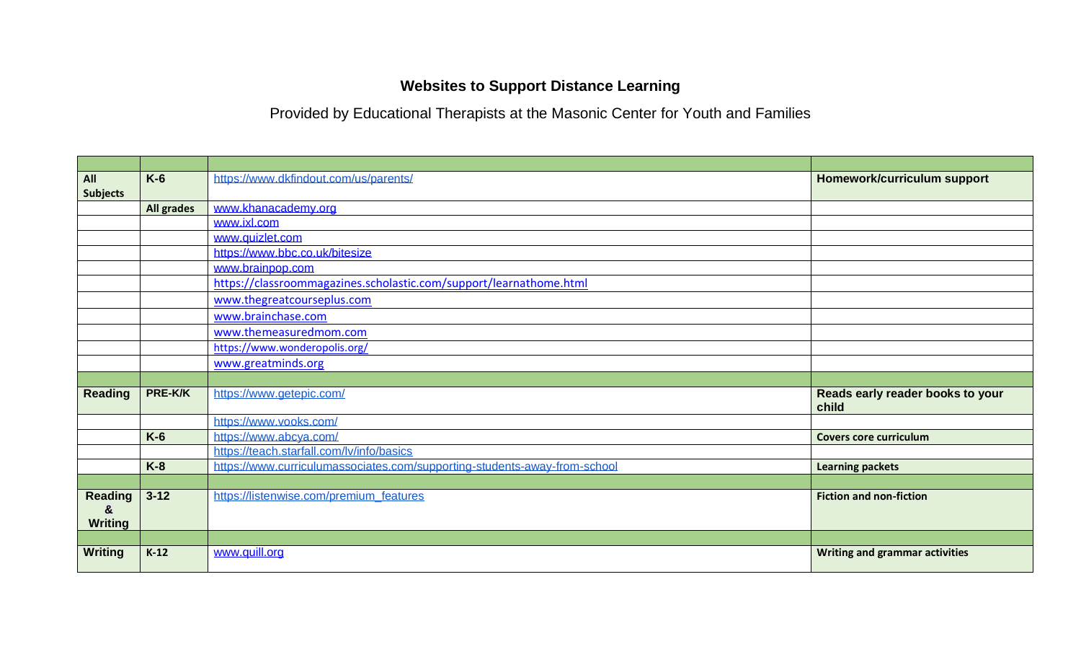## **Websites to Support Distance Learning**

Provided by Educational Therapists at the Masonic Center for Youth and Families

| All             | $K-6$             | https://www.dkfindout.com/us/parents/                                     | Homework/curriculum support               |
|-----------------|-------------------|---------------------------------------------------------------------------|-------------------------------------------|
| <b>Subjects</b> |                   |                                                                           |                                           |
|                 | <b>All grades</b> | www.khanacademy.org                                                       |                                           |
|                 |                   | www.ixl.com                                                               |                                           |
|                 |                   | www.quizlet.com                                                           |                                           |
|                 |                   | https://www.bbc.co.uk/bitesize                                            |                                           |
|                 |                   | www.brainpop.com                                                          |                                           |
|                 |                   | https://classroommagazines.scholastic.com/support/learnathome.html        |                                           |
|                 |                   | www.thegreatcourseplus.com                                                |                                           |
|                 |                   | www.brainchase.com                                                        |                                           |
|                 |                   | www.themeasuredmom.com                                                    |                                           |
|                 |                   | https://www.wonderopolis.org/                                             |                                           |
|                 |                   | www.greatminds.org                                                        |                                           |
|                 |                   |                                                                           |                                           |
| <b>Reading</b>  | PRE-K/K           | https://www.getepic.com/                                                  | Reads early reader books to your<br>child |
|                 |                   | https://www.vooks.com/                                                    |                                           |
|                 | $K-6$             | https://www.abcya.com/                                                    | <b>Covers core curriculum</b>             |
|                 |                   | https://teach.starfall.com/lv/info/basics                                 |                                           |
|                 | $K-8$             | https://www.curriculumassociates.com/supporting-students-away-from-school | <b>Learning packets</b>                   |
|                 |                   |                                                                           |                                           |
| <b>Reading</b>  | $3 - 12$          | https://listenwise.com/premium_features                                   | <b>Fiction and non-fiction</b>            |
| &               |                   |                                                                           |                                           |
| <b>Writing</b>  |                   |                                                                           |                                           |
|                 |                   |                                                                           |                                           |
| <b>Writing</b>  | $K-12$            | www.quill.org                                                             | <b>Writing and grammar activities</b>     |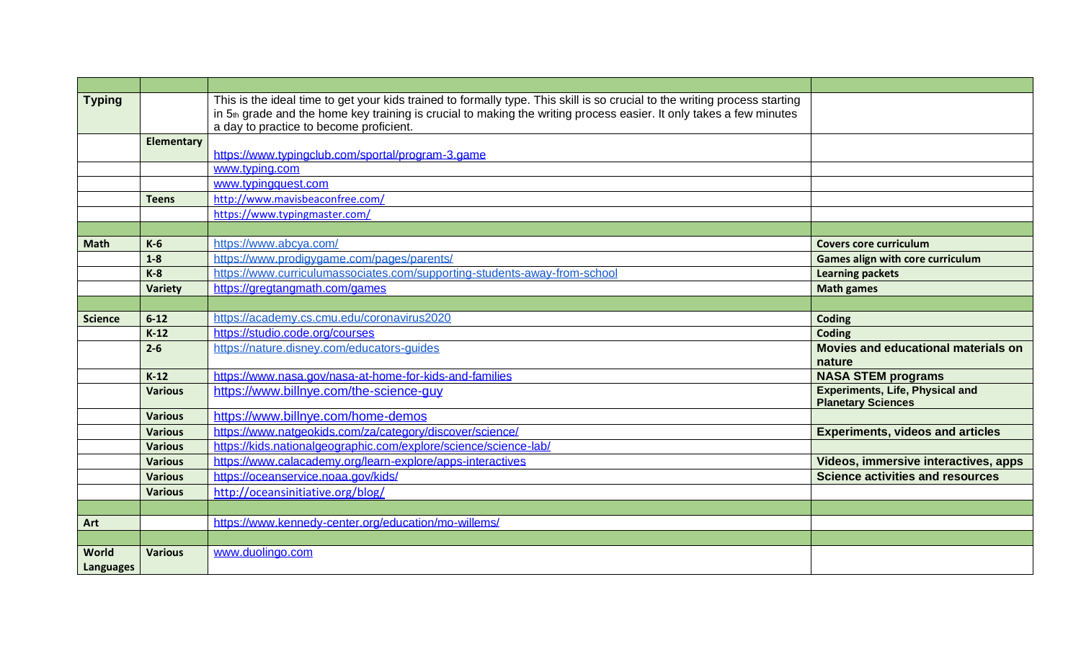| <b>Typing</b>  |                   | This is the ideal time to get your kids trained to formally type. This skill is so crucial to the writing process starting |                                                                     |
|----------------|-------------------|----------------------------------------------------------------------------------------------------------------------------|---------------------------------------------------------------------|
|                |                   | in 5th grade and the home key training is crucial to making the writing process easier. It only takes a few minutes        |                                                                     |
|                |                   | a day to practice to become proficient.                                                                                    |                                                                     |
|                | <b>Elementary</b> |                                                                                                                            |                                                                     |
|                |                   | https://www.typingclub.com/sportal/program-3.game                                                                          |                                                                     |
|                |                   | www.typing.com                                                                                                             |                                                                     |
|                |                   | www.typingquest.com                                                                                                        |                                                                     |
|                | <b>Teens</b>      | http://www.mavisbeaconfree.com/                                                                                            |                                                                     |
|                |                   | https://www.typingmaster.com/                                                                                              |                                                                     |
|                |                   |                                                                                                                            |                                                                     |
| <b>Math</b>    | $K-6$             | https://www.abcya.com/                                                                                                     | <b>Covers core curriculum</b>                                       |
|                | $1-8$             | https://www.prodigygame.com/pages/parents/                                                                                 | Games align with core curriculum                                    |
|                | $K-8$             | https://www.curriculumassociates.com/supporting-students-away-from-school                                                  | <b>Learning packets</b>                                             |
|                | Variety           | https://gregtangmath.com/games                                                                                             | <b>Math games</b>                                                   |
|                |                   |                                                                                                                            |                                                                     |
| <b>Science</b> | $6 - 12$          | https://academy.cs.cmu.edu/coronavirus2020                                                                                 | Coding                                                              |
|                | $K-12$            | https://studio.code.org/courses                                                                                            | Coding                                                              |
|                | $2 - 6$           | https://nature.disney.com/educators-guides                                                                                 | Movies and educational materials on<br>nature                       |
|                | $K-12$            | https://www.nasa.gov/nasa-at-home-for-kids-and-families                                                                    | <b>NASA STEM programs</b>                                           |
|                | <b>Various</b>    | https://www.billnye.com/the-science-guy                                                                                    | <b>Experiments, Life, Physical and</b><br><b>Planetary Sciences</b> |
|                | <b>Various</b>    | https://www.billnye.com/home-demos                                                                                         |                                                                     |
|                | <b>Various</b>    | https://www.natgeokids.com/za/category/discover/science/                                                                   | <b>Experiments, videos and articles</b>                             |
|                | <b>Various</b>    | https://kids.nationalgeographic.com/explore/science/science-lab/                                                           |                                                                     |
|                | <b>Various</b>    | https://www.calacademy.org/learn-explore/apps-interactives                                                                 | Videos, immersive interactives, apps                                |
|                | <b>Various</b>    | https://oceanservice.noaa.gov/kids/                                                                                        | <b>Science activities and resources</b>                             |
|                | <b>Various</b>    | http://oceansinitiative.org/blog/                                                                                          |                                                                     |
|                |                   |                                                                                                                            |                                                                     |
| Art            |                   | https://www.kennedy-center.org/education/mo-willems/                                                                       |                                                                     |
|                |                   |                                                                                                                            |                                                                     |
| World          | <b>Various</b>    | www.duolingo.com                                                                                                           |                                                                     |
| Languages      |                   |                                                                                                                            |                                                                     |